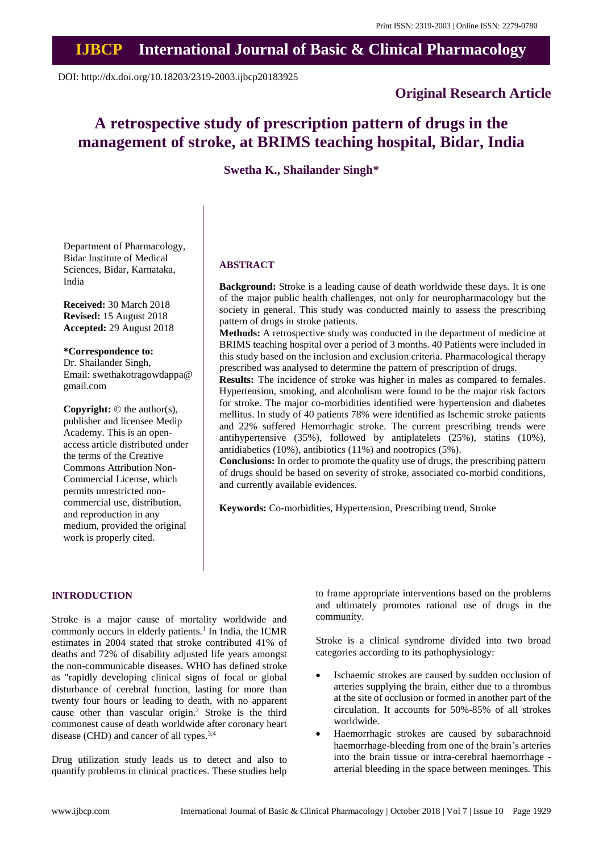## **IJBCP International Journal of Basic & Clinical Pharmacology**

DOI: http://dx.doi.org/10.18203/2319-2003.ijbcp20183925

### **Original Research Article**

# **A retrospective study of prescription pattern of drugs in the management of stroke, at BRIMS teaching hospital, Bidar, India**

**Swetha K., Shailander Singh\***

Department of Pharmacology, Bidar Institute of Medical Sciences, Bidar, Karnataka, India

**Received:** 30 March 2018 **Revised:** 15 August 2018 **Accepted:** 29 August 2018

#### **\*Correspondence to:**

Dr. Shailander Singh, Email: swethakotragowdappa@ gmail.com

**Copyright:** © the author(s), publisher and licensee Medip Academy. This is an openaccess article distributed under the terms of the Creative Commons Attribution Non-Commercial License, which permits unrestricted noncommercial use, distribution, and reproduction in any medium, provided the original work is properly cited.

#### **ABSTRACT**

**Background:** Stroke is a leading cause of death worldwide these days. It is one of the major public health challenges, not only for neuropharmacology but the society in general. This study was conducted mainly to assess the prescribing pattern of drugs in stroke patients.

**Methods:** A retrospective study was conducted in the department of medicine at BRIMS teaching hospital over a period of 3 months. 40 Patients were included in this study based on the inclusion and exclusion criteria. Pharmacological therapy prescribed was analysed to determine the pattern of prescription of drugs.

**Results:** The incidence of stroke was higher in males as compared to females. Hypertension, smoking, and alcoholism were found to be the major risk factors for stroke. The major co-morbidities identified were hypertension and diabetes mellitus. In study of 40 patients 78% were identified as Ischemic stroke patients and 22% suffered Hemorrhagic stroke. The current prescribing trends were antihypertensive (35%), followed by antiplatelets (25%), statins (10%), antidiabetics (10%), antibiotics (11%) and nootropics (5%).

**Conclusions:** In order to promote the quality use of drugs, the prescribing pattern of drugs should be based on severity of stroke, associated co‑morbid conditions, and currently available evidences.

**Keywords:** Co-morbidities, Hypertension, Prescribing trend, Stroke

#### **INTRODUCTION**

Stroke is a major cause of mortality worldwide and commonly occurs in elderly patients. 1 In India, the ICMR estimates in 2004 stated that stroke contributed 41% of deaths and 72% of disability adjusted life years amongst the non-communicable diseases. WHO has defined stroke as "rapidly developing clinical signs of focal or global disturbance of cerebral function, lasting for more than twenty four hours or leading to death, with no apparent cause other than vascular origin. <sup>2</sup> Stroke is the third commonest cause of death worldwide after coronary heart disease (CHD) and cancer of all types.<sup>3,4</sup>

Drug utilization study leads us to detect and also to quantify problems in clinical practices. These studies help to frame appropriate interventions based on the problems and ultimately promotes rational use of drugs in the community.

Stroke is a clinical syndrome divided into two broad categories according to its pathophysiology:

- Ischaemic strokes are caused by sudden occlusion of arteries supplying the brain, either due to a thrombus at the site of occlusion or formed in another part of the circulation. It accounts for 50%-85% of all strokes worldwide.
- Haemorrhagic strokes are caused by subarachnoid haemorrhage-bleeding from one of the brain's arteries into the brain tissue or intra-cerebral haemorrhage arterial bleeding in the space between meninges. This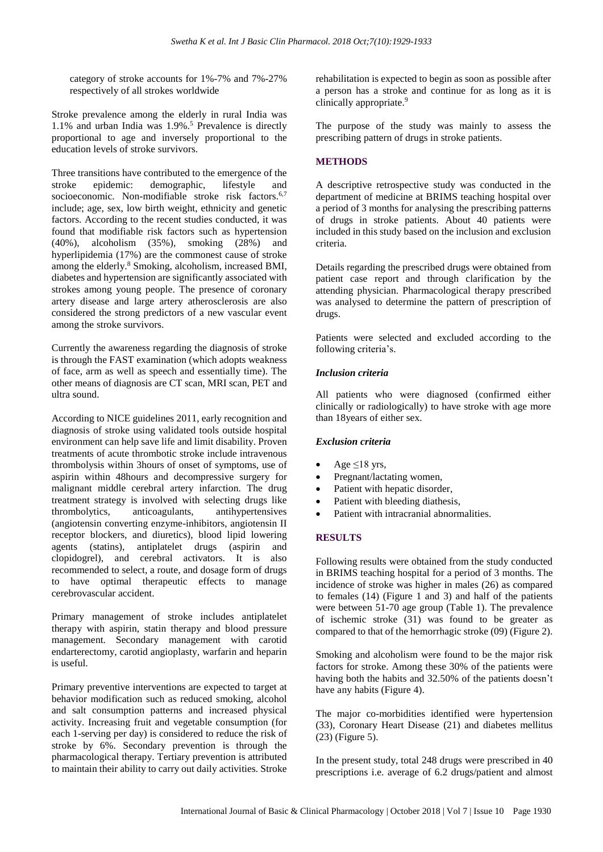category of stroke accounts for 1%-7% and 7%-27% respectively of all strokes worldwide

Stroke prevalence among the elderly in rural India was 1.1% and urban India was 1.9%. <sup>5</sup> Prevalence is directly proportional to age and inversely proportional to the education levels of stroke survivors.

Three transitions have contributed to the emergence of the stroke epidemic: demographic, lifestyle and socioeconomic. Non-modifiable stroke risk factors.<sup>6,7</sup> include; age, sex, low birth weight, ethnicity and genetic factors. According to the recent studies conducted, it was found that modifiable risk factors such as hypertension (40%), alcoholism (35%), smoking (28%) and hyperlipidemia (17%) are the commonest cause of stroke among the elderly.<sup>8</sup> Smoking, alcoholism, increased BMI, diabetes and hypertension are significantly associated with strokes among young people. The presence of coronary artery disease and large artery atherosclerosis are also considered the strong predictors of a new vascular event among the stroke survivors.

Currently the awareness regarding the diagnosis of stroke is through the FAST examination (which adopts weakness of face, arm as well as speech and essentially time). The other means of diagnosis are CT scan, MRI scan, PET and ultra sound.

According to NICE guidelines 2011, early recognition and diagnosis of stroke using validated tools outside hospital environment can help save life and limit disability. Proven treatments of acute thrombotic stroke include intravenous thrombolysis within 3hours of onset of symptoms, use of aspirin within 48hours and decompressive surgery for malignant middle cerebral artery infarction. The drug treatment strategy is involved with selecting drugs like<br>thrombolytics, anticoagulants, antihypertensives  $throughants,$  anticoagulants, (angiotensin converting enzyme-inhibitors, angiotensin II receptor blockers, and diuretics), blood lipid lowering agents (statins), antiplatelet drugs (aspirin and clopidogrel), and cerebral activators. It is also recommended to select, a route, and dosage form of drugs to have optimal therapeutic effects to manage cerebrovascular accident.

Primary management of stroke includes antiplatelet therapy with aspirin, statin therapy and blood pressure management. Secondary management with carotid endarterectomy, carotid angioplasty, warfarin and heparin is useful.

Primary preventive interventions are expected to target at behavior modification such as reduced smoking, alcohol and salt consumption patterns and increased physical activity. Increasing fruit and vegetable consumption (for each 1-serving per day) is considered to reduce the risk of stroke by 6%. Secondary prevention is through the pharmacological therapy. Tertiary prevention is attributed to maintain their ability to carry out daily activities. Stroke rehabilitation is expected to begin as soon as possible after a person has a stroke and continue for as long as it is clinically appropriate. 9

The purpose of the study was mainly to assess the prescribing pattern of drugs in stroke patients.

#### **METHODS**

A descriptive retrospective study was conducted in the department of medicine at BRIMS teaching hospital over a period of 3 months for analysing the prescribing patterns of drugs in stroke patients. About 40 patients were included in this study based on the inclusion and exclusion criteria.

Details regarding the prescribed drugs were obtained from patient case report and through clarification by the attending physician. Pharmacological therapy prescribed was analysed to determine the pattern of prescription of drugs.

Patients were selected and excluded according to the following criteria's.

#### *Inclusion criteria*

All patients who were diagnosed (confirmed either clinically or radiologically) to have stroke with age more than 18years of either sex.

#### *Exclusion criteria*

- Age  $\leq$ 18 yrs,
- Pregnant/lactating women,
- Patient with hepatic disorder,
- Patient with bleeding diathesis,
- Patient with intracranial abnormalities.

#### **RESULTS**

Following results were obtained from the study conducted in BRIMS teaching hospital for a period of 3 months. The incidence of stroke was higher in males (26) as compared to females (14) (Figure 1 and 3) and half of the patients were between 51-70 age group (Table 1). The prevalence of ischemic stroke (31) was found to be greater as compared to that of the hemorrhagic stroke (09) (Figure 2).

Smoking and alcoholism were found to be the major risk factors for stroke. Among these 30% of the patients were having both the habits and 32.50% of the patients doesn't have any habits (Figure 4).

The major co-morbidities identified were hypertension (33), Coronary Heart Disease (21) and diabetes mellitus (23) (Figure 5).

In the present study, total 248 drugs were prescribed in 40 prescriptions i.e. average of 6.2 drugs/patient and almost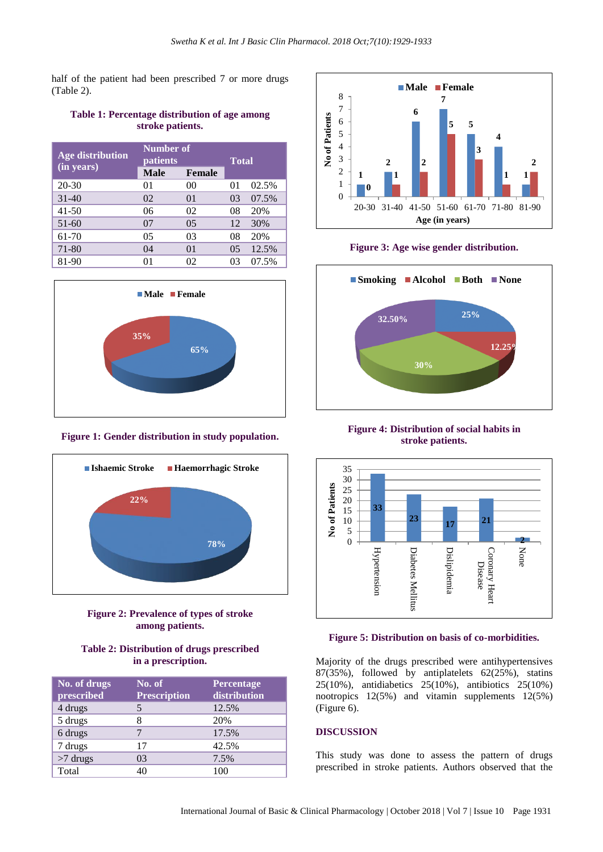half of the patient had been prescribed 7 or more drugs (Table 2).

#### **Table 1: Percentage distribution of age among stroke patients.**

| <b>Age distribution</b><br>(in years) | <b>Number of</b><br>patients |                | <b>Total</b> |       |
|---------------------------------------|------------------------------|----------------|--------------|-------|
|                                       | <b>Male</b>                  | <b>Female</b>  |              |       |
| 20-30                                 | 01                           | 00             | 01           | 02.5% |
| $31 - 40$                             | 02                           | 0 <sub>1</sub> | 03           | 07.5% |
| $41 - 50$                             | 06                           | 02             | 08           | 20%   |
| $51-60$                               | 07                           | 0.5            | 12           | 30%   |
| 61-70                                 | 05                           | 03             | 08           | 20%   |
| 71-80                                 | 04                           | 0 <sub>1</sub> | 05           | 12.5% |
| 81-90                                 |                              | 02             | 03           | 07.5% |



#### **Figure 1: Gender distribution in study population.**



#### **Figure 2: Prevalence of types of stroke among patients.**

#### **Table 2: Distribution of drugs prescribed in a prescription.**

| No. of drugs<br>prescribed | No. of<br><b>Prescription</b> | Percentage<br>distribution |
|----------------------------|-------------------------------|----------------------------|
| 4 drugs                    |                               | 12.5%                      |
| 5 drugs                    |                               | 20%                        |
| 6 drugs                    |                               | 17.5%                      |
| 7 drugs                    | 17                            | 42.5%                      |
| $>7$ drugs                 | 03                            | 7.5%                       |
| Total                      | 40                            | 100                        |



#### **Figure 3: Age wise gender distribution.**



**Figure 4: Distribution of social habits in stroke patients.**



#### **Figure 5: Distribution on basis of co-morbidities.**

Majority of the drugs prescribed were antihypertensives 87(35%), followed by antiplatelets 62(25%), statins 25(10%), antidiabetics 25(10%), antibiotics 25(10%) nootropics 12(5%) and vitamin supplements 12(5%) (Figure 6).

#### **DISCUSSION**

This study was done to assess the pattern of drugs prescribed in stroke patients. Authors observed that the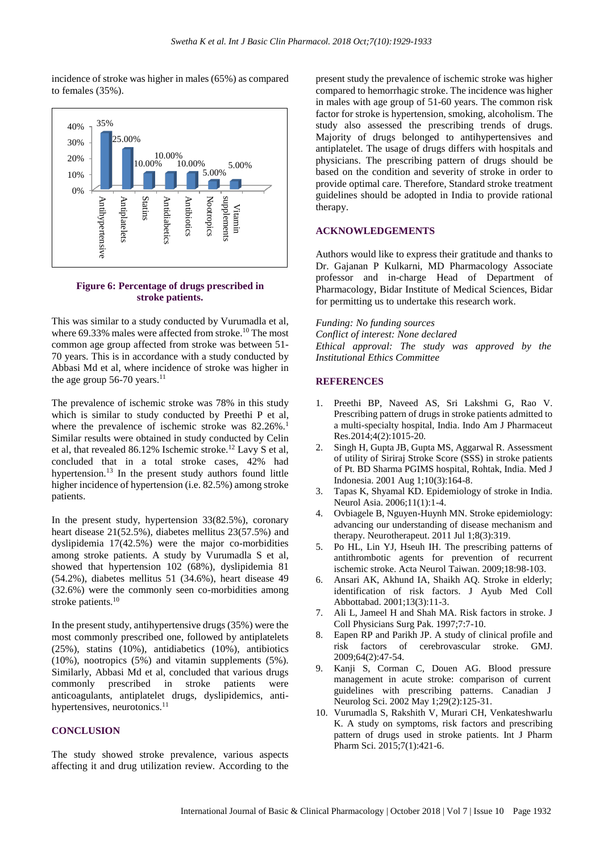incidence of stroke was higher in males (65%) as compared to females (35%).



#### **Figure 6: Percentage of drugs prescribed in stroke patients.**

This was similar to a study conducted by Vurumadla et al, where 69.33% males were affected from stroke.<sup>10</sup> The most common age group affected from stroke was between 51- 70 years. This is in accordance with a study conducted by Abbasi Md et al, where incidence of stroke was higher in the age group 56-70 years.<sup>11</sup>

The prevalence of ischemic stroke was 78% in this study which is similar to study conducted by Preethi P et al, where the prevalence of ischemic stroke was 82.26%.<sup>1</sup> Similar results were obtained in study conducted by Celin et al, that revealed 86.12% Ischemic stroke.<sup>12</sup> Lavy S et al, concluded that in a total stroke cases, 42% had hypertension.<sup>13</sup> In the present study authors found little higher incidence of hypertension (i.e. 82.5%) among stroke patients.

In the present study, hypertension 33(82.5%), coronary heart disease 21(52.5%), diabetes mellitus 23(57.5%) and dyslipidemia 17(42.5%) were the major co-morbidities among stroke patients. A study by Vurumadla S et al, showed that hypertension 102 (68%), dyslipidemia 81 (54.2%), diabetes mellitus 51 (34.6%), heart disease 49 (32.6%) were the commonly seen co-morbidities among stroke patients. 10

In the present study, antihypertensive drugs (35%) were the most commonly prescribed one, followed by antiplatelets (25%), statins (10%), antidiabetics (10%), antibiotics (10%), nootropics (5%) and vitamin supplements (5%). Similarly, Abbasi Md et al, concluded that various drugs commonly prescribed in stroke patients were anticoagulants, antiplatelet drugs, dyslipidemics, antihypertensives, neurotonics.<sup>11</sup>

#### **CONCLUSION**

The study showed stroke prevalence, various aspects affecting it and drug utilization review. According to the

present study the prevalence of ischemic stroke was higher compared to hemorrhagic stroke. The incidence was higher in males with age group of 51-60 years. The common risk factor for stroke is hypertension, smoking, alcoholism. The study also assessed the prescribing trends of drugs. Majority of drugs belonged to antihypertensives and antiplatelet. The usage of drugs differs with hospitals and physicians. The prescribing pattern of drugs should be based on the condition and severity of stroke in order to provide optimal care. Therefore, Standard stroke treatment guidelines should be adopted in India to provide rational therapy.

#### **ACKNOWLEDGEMENTS**

Authors would like to express their gratitude and thanks to Dr. Gajanan P Kulkarni, MD Pharmacology Associate professor and in-charge Head of Department of Pharmacology, Bidar Institute of Medical Sciences, Bidar for permitting us to undertake this research work.

*Funding: No funding sources Conflict of interest: None declared Ethical approval: The study was approved by the Institutional Ethics Committee*

#### **REFERENCES**

- 1. Preethi BP, Naveed AS, Sri Lakshmi G, Rao V. Prescribing pattern of drugs in stroke patients admitted to a multi-specialty hospital, India. Indo Am J Pharmaceut Res.2014;4(2):1015-20.
- 2. Singh H, Gupta JB, Gupta MS, Aggarwal R. Assessment of utility of Siriraj Stroke Score (SSS) in stroke patients of Pt. BD Sharma PGIMS hospital, Rohtak, India. Med J Indonesia. 2001 Aug 1;10(3):164-8.
- 3. Tapas K, Shyamal KD. Epidemiology of stroke in India. Neurol Asia. 2006;11(1):1-4.
- 4. Ovbiagele B, Nguyen-Huynh MN. Stroke epidemiology: advancing our understanding of disease mechanism and therapy. Neurotherapeut. 2011 Jul 1;8(3):319.
- 5. Po HL, Lin YJ, Hseuh IH. The prescribing patterns of antithrombotic agents for prevention of recurrent ischemic stroke. Acta Neurol Taiwan. 2009;18:98-103.
- 6. Ansari AK, Akhund IA, Shaikh AQ. Stroke in elderly; identification of risk factors. J Ayub Med Coll Abbottabad. 2001;13(3):11-3.
- 7. Ali L, Jameel H and Shah MA. Risk factors in stroke. J Coll Physicians Surg Pak. 1997;7:7-10.
- 8. Eapen RP and Parikh JP. A study of clinical profile and risk factors of cerebrovascular stroke. GMJ. 2009;64(2):47-54.
- 9. Kanji S, Corman C, Douen AG. Blood pressure management in acute stroke: comparison of current guidelines with prescribing patterns. Canadian J Neurolog Sci. 2002 May 1;29(2):125-31.
- 10. Vurumadla S, Rakshith V, Murari CH, Venkateshwarlu K. A study on symptoms, risk factors and prescribing pattern of drugs used in stroke patients. Int J Pharm Pharm Sci. 2015;7(1):421-6.